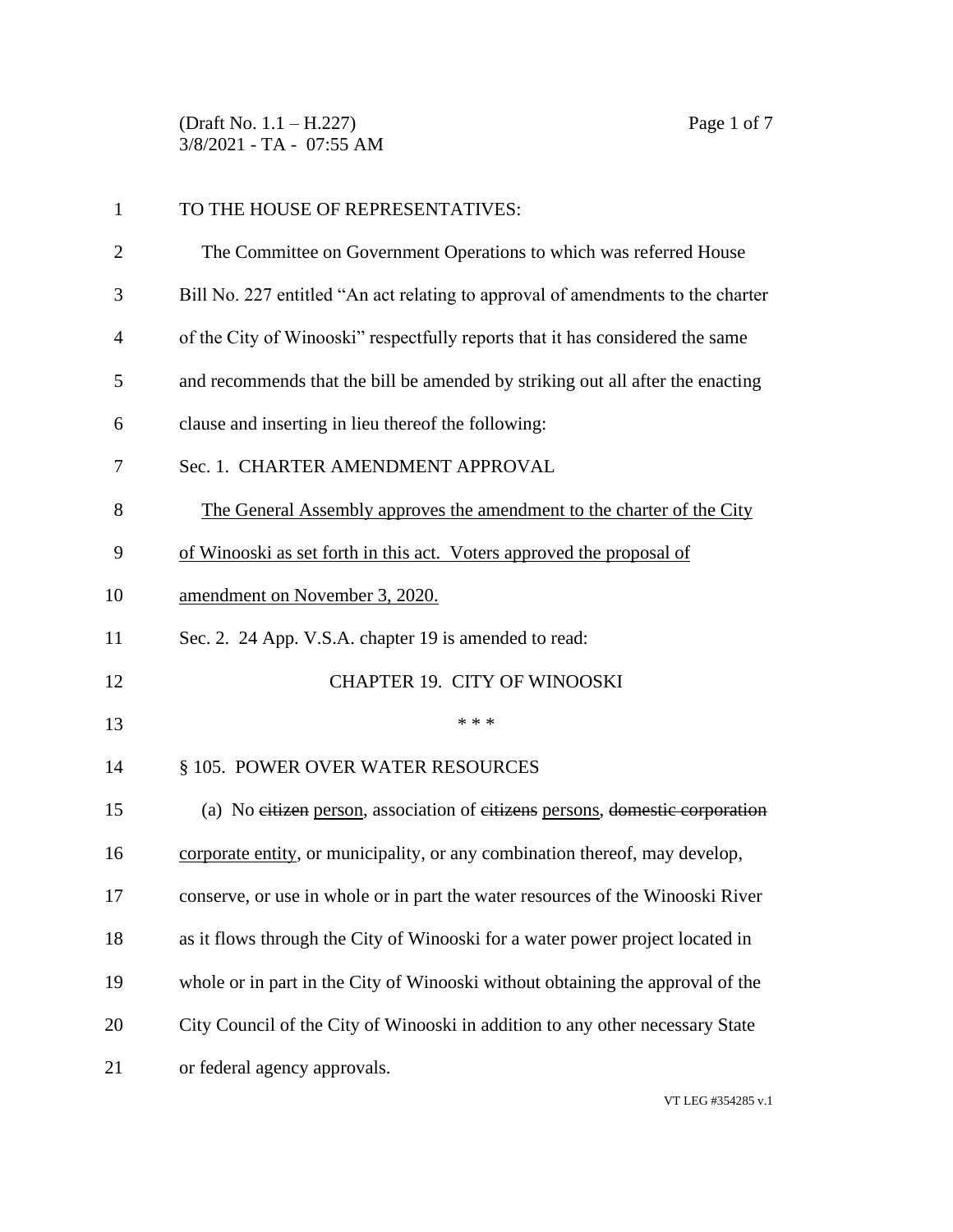(Draft No. 1.1 – H.227) Page 1 of 7 3/8/2021 - TA - 07:55 AM

| $\mathbf{1}$   | TO THE HOUSE OF REPRESENTATIVES:                                                |
|----------------|---------------------------------------------------------------------------------|
| $\overline{2}$ | The Committee on Government Operations to which was referred House              |
| 3              | Bill No. 227 entitled "An act relating to approval of amendments to the charter |
| $\overline{4}$ | of the City of Winooski" respectfully reports that it has considered the same   |
| 5              | and recommends that the bill be amended by striking out all after the enacting  |
| 6              | clause and inserting in lieu thereof the following:                             |
| 7              | Sec. 1. CHARTER AMENDMENT APPROVAL                                              |
| 8              | The General Assembly approves the amendment to the charter of the City          |
| 9              | of Winooski as set forth in this act. Voters approved the proposal of           |
| 10             | amendment on November 3, 2020.                                                  |
| 11             | Sec. 2. 24 App. V.S.A. chapter 19 is amended to read:                           |
| 12             | <b>CHAPTER 19. CITY OF WINOOSKI</b>                                             |
| 13             | * * *                                                                           |
| 14             | § 105. POWER OVER WATER RESOURCES                                               |
| 15             | (a) No eitizen person, association of eitizens persons, domestic corporation    |
| 16             | corporate entity, or municipality, or any combination thereof, may develop,     |
| 17             | conserve, or use in whole or in part the water resources of the Winooski River  |
| 18             | as it flows through the City of Winooski for a water power project located in   |
| 19             | whole or in part in the City of Winooski without obtaining the approval of the  |
| 20             | City Council of the City of Winooski in addition to any other necessary State   |
| 21             | or federal agency approvals.                                                    |

VT LEG #354285 v.1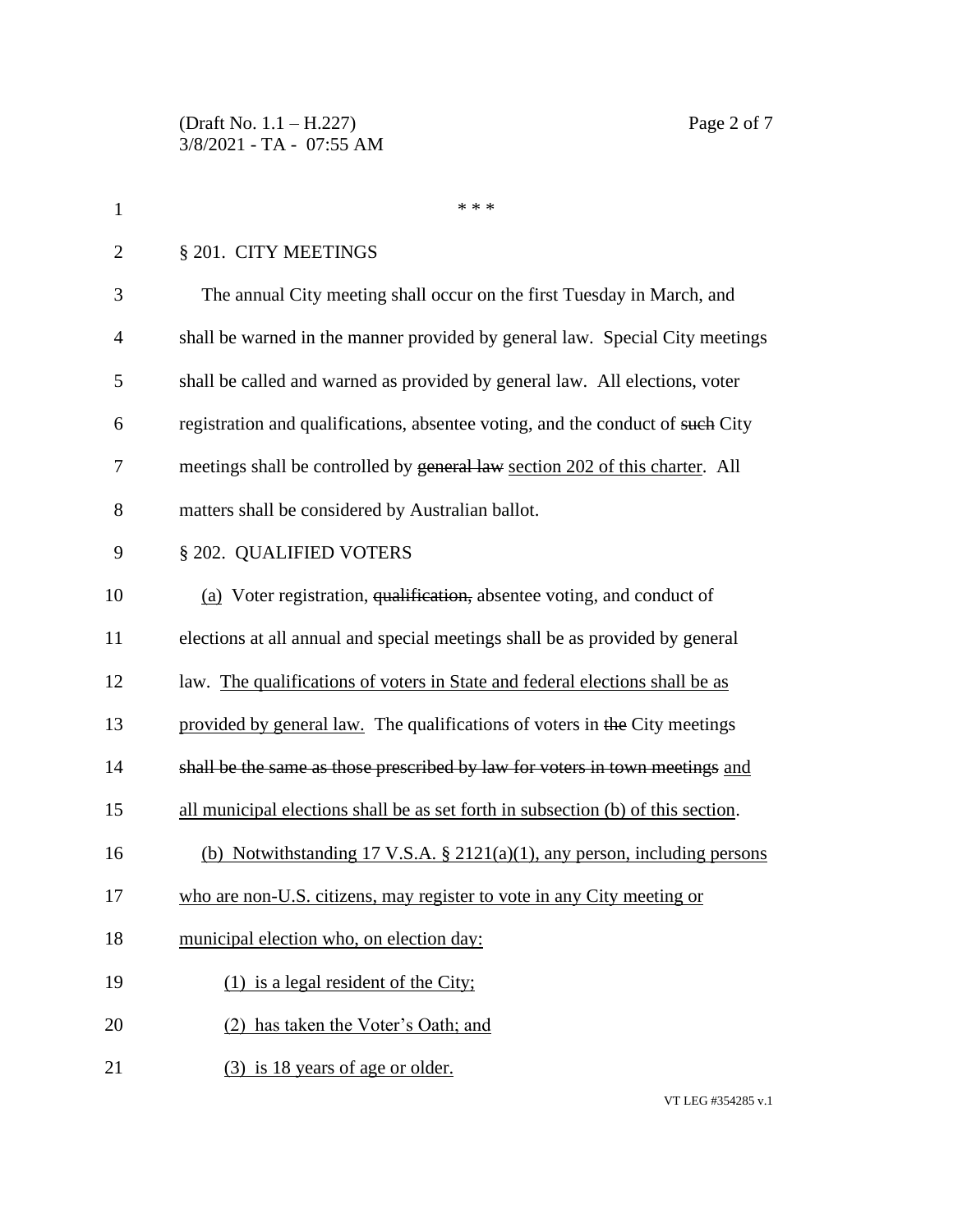| $\mathbf{1}$   | * * *                                                                            |
|----------------|----------------------------------------------------------------------------------|
| $\overline{2}$ | § 201. CITY MEETINGS                                                             |
| 3              | The annual City meeting shall occur on the first Tuesday in March, and           |
| $\overline{4}$ | shall be warned in the manner provided by general law. Special City meetings     |
| 5              | shall be called and warned as provided by general law. All elections, voter      |
| 6              | registration and qualifications, absentee voting, and the conduct of such City   |
| 7              | meetings shall be controlled by general law section 202 of this charter. All     |
| 8              | matters shall be considered by Australian ballot.                                |
| 9              | § 202. QUALIFIED VOTERS                                                          |
| 10             | (a) Voter registration, qualification, absentee voting, and conduct of           |
| 11             | elections at all annual and special meetings shall be as provided by general     |
| 12             | law. The qualifications of voters in State and federal elections shall be as     |
| 13             | provided by general law. The qualifications of voters in the City meetings       |
| 14             | shall be the same as those prescribed by law for voters in town meetings and     |
| 15             | all municipal elections shall be as set forth in subsection (b) of this section. |
| 16             | (b) Notwithstanding 17 V.S.A. $\S$ 2121(a)(1), any person, including persons     |
| 17             | who are non-U.S. citizens, may register to vote in any City meeting or           |
| 18             | municipal election who, on election day:                                         |
| 19             | $(1)$ is a legal resident of the City;                                           |
| 20             | (2) has taken the Voter's Oath; and                                              |
| 21             | (3) is 18 years of age or older.                                                 |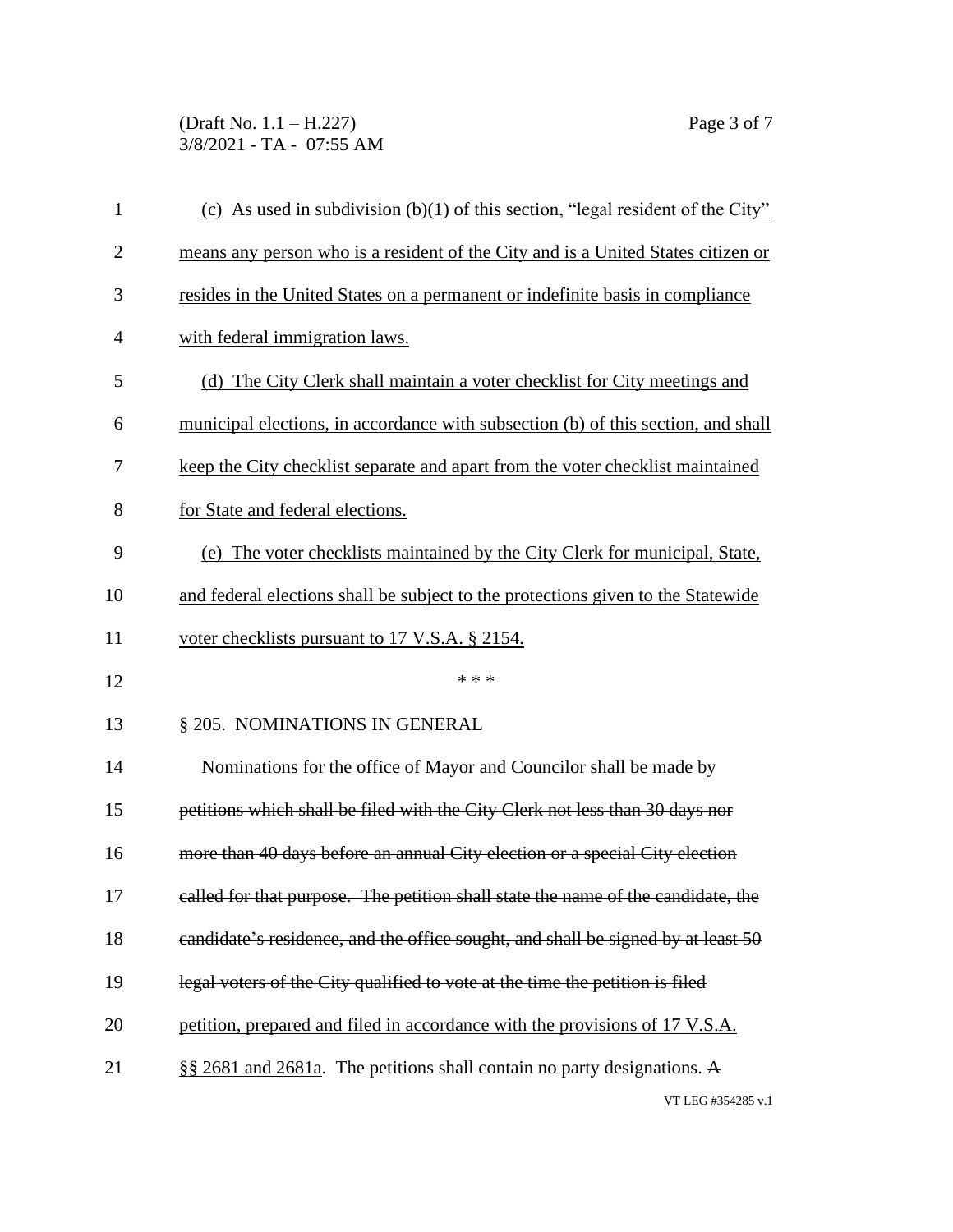(Draft No. 1.1 – H.227) Page 3 of 7 3/8/2021 - TA - 07:55 AM

| 1              | (c) As used in subdivision (b)(1) of this section, "legal resident of the City"   |
|----------------|-----------------------------------------------------------------------------------|
| $\overline{2}$ | means any person who is a resident of the City and is a United States citizen or  |
| 3              | resides in the United States on a permanent or indefinite basis in compliance     |
| $\overline{4}$ | with federal immigration laws.                                                    |
| 5              | (d) The City Clerk shall maintain a voter checklist for City meetings and         |
| 6              | municipal elections, in accordance with subsection (b) of this section, and shall |
| 7              | keep the City checklist separate and apart from the voter checklist maintained    |
| 8              | for State and federal elections.                                                  |
| 9              | (e) The voter checklists maintained by the City Clerk for municipal, State,       |
| 10             | and federal elections shall be subject to the protections given to the Statewide  |
| 11             | voter checklists pursuant to 17 V.S.A. § 2154.                                    |
| 12             | * * *                                                                             |
| 13             | § 205. NOMINATIONS IN GENERAL                                                     |
| 14             | Nominations for the office of Mayor and Councilor shall be made by                |
| 15             | petitions which shall be filed with the City Clerk not less than 30 days nor      |
| 16             | more than 40 days before an annual City election or a special City election       |
| 17             | called for that purpose. The petition shall state the name of the candidate, the  |
| 18             | candidate's residence, and the office sought, and shall be signed by at least 50  |
| 19             | legal voters of the City qualified to vote at the time the petition is filed      |
| 20             | petition, prepared and filed in accordance with the provisions of 17 V.S.A.       |
| 21             | §§ 2681 and 2681a. The petitions shall contain no party designations. A           |
|                | VT LEG #354285 v.1                                                                |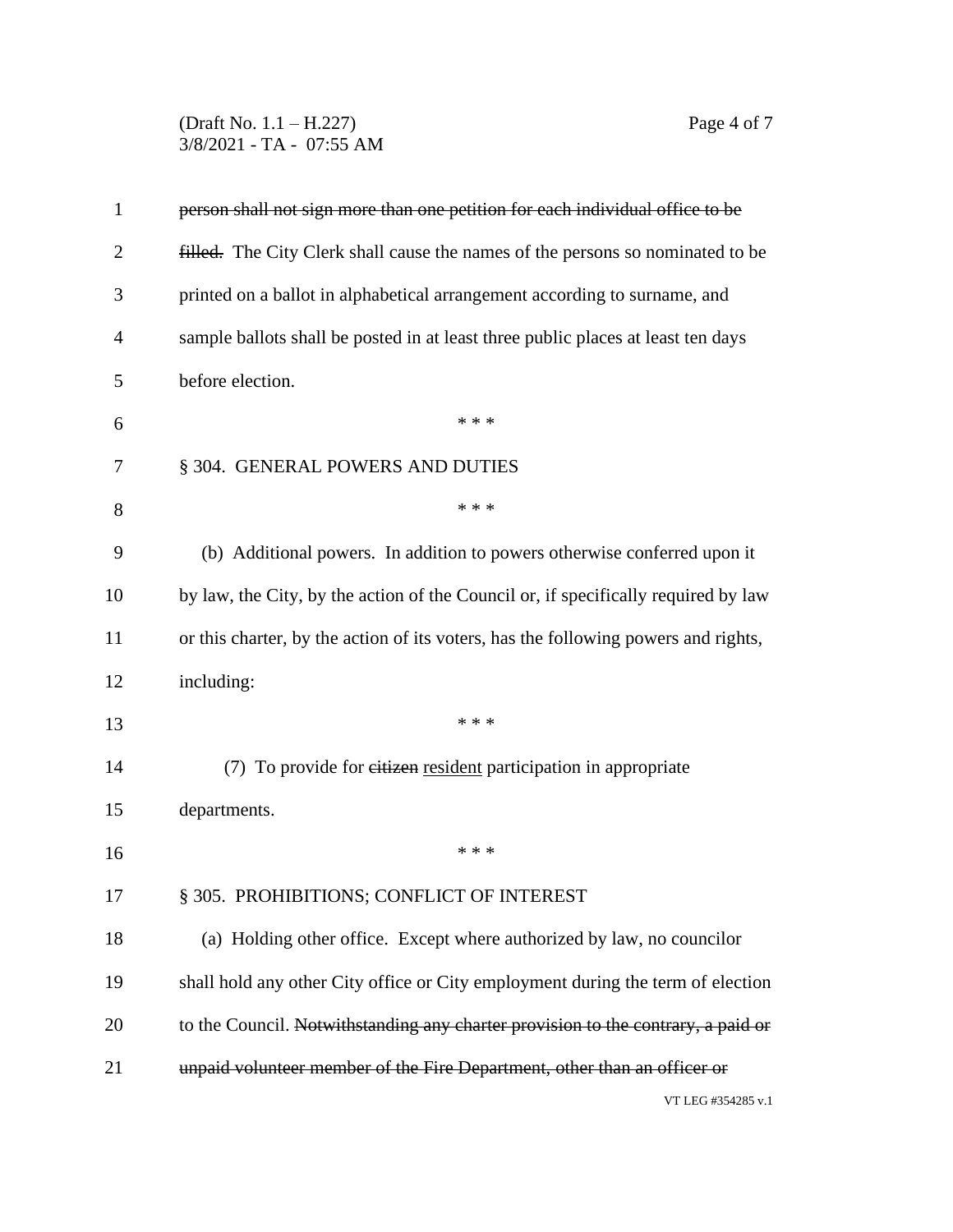(Draft No. 1.1 – H.227) Page 4 of 7 3/8/2021 - TA - 07:55 AM

| $\mathbf{1}$   | person shall not sign more than one petition for each individual office to be      |
|----------------|------------------------------------------------------------------------------------|
| $\overline{2}$ | filled. The City Clerk shall cause the names of the persons so nominated to be     |
| 3              | printed on a ballot in alphabetical arrangement according to surname, and          |
| 4              | sample ballots shall be posted in at least three public places at least ten days   |
| 5              | before election.                                                                   |
| 6              | * * *                                                                              |
| 7              | § 304. GENERAL POWERS AND DUTIES                                                   |
| 8              | * * *                                                                              |
| 9              | (b) Additional powers. In addition to powers otherwise conferred upon it           |
| 10             | by law, the City, by the action of the Council or, if specifically required by law |
| 11             | or this charter, by the action of its voters, has the following powers and rights, |
| 12             | including:                                                                         |
| 13             | * * *                                                                              |
| 14             | (7) To provide for eitizen resident participation in appropriate                   |
| 15             | departments.                                                                       |
| 16             | * * *                                                                              |
| 17             | § 305. PROHIBITIONS; CONFLICT OF INTEREST                                          |
| 18             | (a) Holding other office. Except where authorized by law, no councilor             |
| 19             | shall hold any other City office or City employment during the term of election    |
| 20             | to the Council. Notwithstanding any charter provision to the contrary, a paid or   |
| 21             | unpaid volunteer member of the Fire Department, other than an officer or           |
|                | (7T I EC 4254005, , 1                                                              |

VT LEG #354285 v.1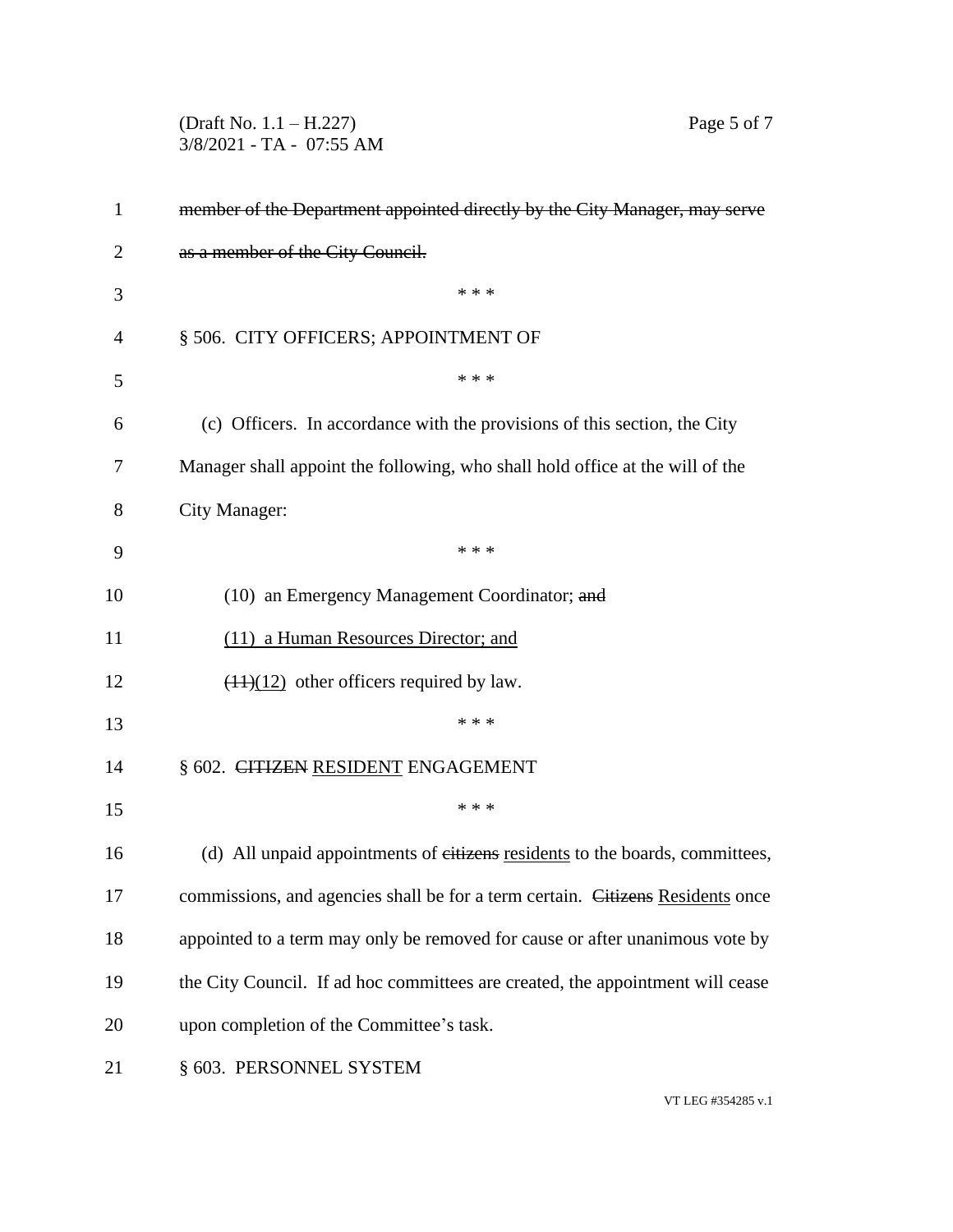3/8/2021 - TA - 07:55 AM member of the Department appointed directly by the City Manager, may serve 2 as a member of the City Council.  $***$  § 506. CITY OFFICERS; APPOINTMENT OF \* \* \* (c) Officers. In accordance with the provisions of this section, the City Manager shall appoint the following, who shall hold office at the will of the City Manager: \* \* \* 10 (10) an Emergency Management Coordinator; and (11) a Human Resources Director; and 12  $(11)(12)$  other officers required by law. \*\*\* 14 § 602. CITIZEN RESIDENT ENGAGEMENT \*\*\* 16 (d) All unpaid appointments of eitizens residents to the boards, committees, 17 commissions, and agencies shall be for a term certain. Citizens Residents once appointed to a term may only be removed for cause or after unanimous vote by the City Council. If ad hoc committees are created, the appointment will cease upon completion of the Committee's task. § 603. PERSONNEL SYSTEM

(Draft No. 1.1 – H.227) Page 5 of 7

VT LEG #354285 v.1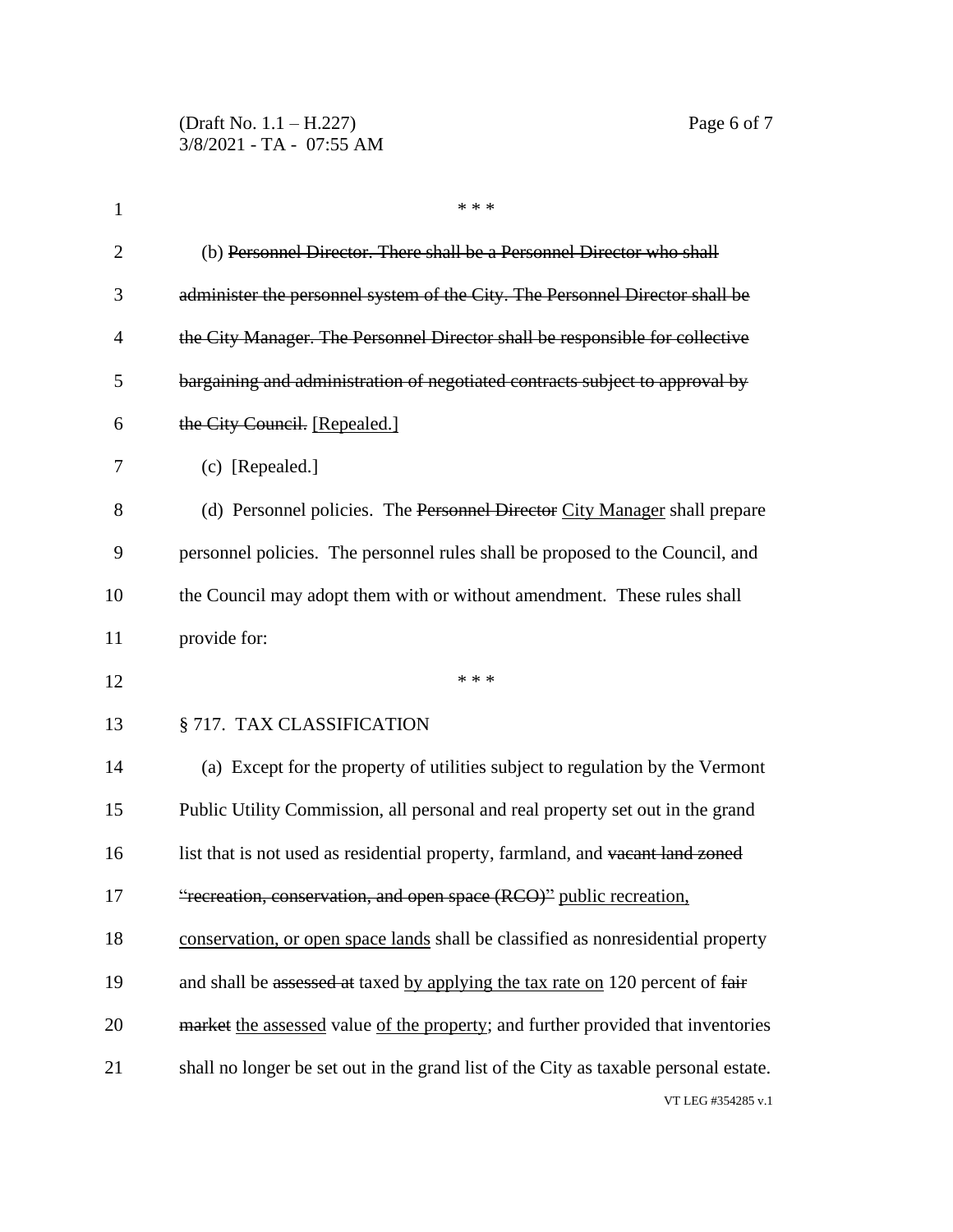| $\mathbf{1}$   | * * *                                                                                |
|----------------|--------------------------------------------------------------------------------------|
| $\overline{2}$ | (b) Personnel Director. There shall be a Personnel Director who shall                |
| 3              | administer the personnel system of the City. The Personnel Director shall be         |
| $\overline{4}$ | the City Manager. The Personnel Director shall be responsible for collective         |
| 5              | bargaining and administration of negotiated contracts subject to approval by         |
| 6              | the City Council. [Repealed.]                                                        |
| 7              | (c) [Repealed.]                                                                      |
| 8              | (d) Personnel policies. The Personnel Director City Manager shall prepare            |
| 9              | personnel policies. The personnel rules shall be proposed to the Council, and        |
| 10             | the Council may adopt them with or without amendment. These rules shall              |
| 11             | provide for:                                                                         |
| 12             | * * *                                                                                |
| 13             | § 717. TAX CLASSIFICATION                                                            |
| 14             | (a) Except for the property of utilities subject to regulation by the Vermont        |
| 15             | Public Utility Commission, all personal and real property set out in the grand       |
| 16             | list that is not used as residential property, farmland, and vacant land zoned       |
| 17             | "recreation, conservation, and open space (RCO)" public recreation,                  |
| 18             | conservation, or open space lands shall be classified as nonresidential property     |
| 19             | and shall be assessed at taxed by applying the tax rate on 120 percent of fair       |
| 20             | market the assessed value of the property; and further provided that inventories     |
| 21             | shall no longer be set out in the grand list of the City as taxable personal estate. |
|                | VT LEG #354285 v.1                                                                   |